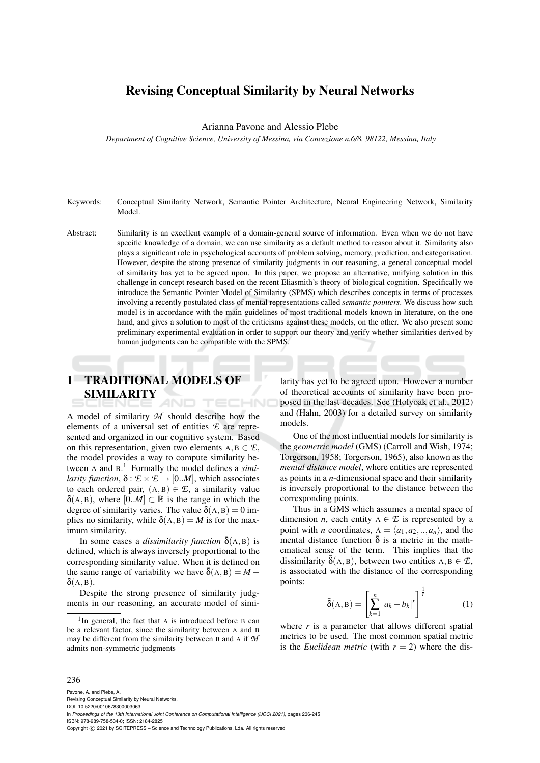# Revising Conceptual Similarity by Neural Networks

Arianna Pavone and Alessio Plebe

*Department of Cognitive Science, University of Messina, via Concezione n.6/8, 98122, Messina, Italy*

- Keywords: Conceptual Similarity Network, Semantic Pointer Architecture, Neural Engineering Network, Similarity Model.
- Abstract: Similarity is an excellent example of a domain-general source of information. Even when we do not have specific knowledge of a domain, we can use similarity as a default method to reason about it. Similarity also plays a significant role in psychological accounts of problem solving, memory, prediction, and categorisation. However, despite the strong presence of similarity judgments in our reasoning, a general conceptual model of similarity has yet to be agreed upon. In this paper, we propose an alternative, unifying solution in this challenge in concept research based on the recent Eliasmith's theory of biological cognition. Specifically we introduce the Semantic Pointer Model of Similarity (SPMS) which describes concepts in terms of processes involving a recently postulated class of mental representations called *semantic pointers*. We discuss how such model is in accordance with the main guidelines of most traditional models known in literature, on the one hand, and gives a solution to most of the criticisms against these models, on the other. We also present some preliminary experimental evaluation in order to support our theory and verify whether similarities derived by human judgments can be compatible with the SPMS.

#### 1 TRADITIONAL MODELS OF SIMILARITY TECHNO

A model of similarity *M* should describe how the elements of a universal set of entities *E* are represented and organized in our cognitive system. Based on this representation, given two elements  $A, B \in \mathcal{L}$ , the model provides a way to compute similarity between A and B. <sup>1</sup> Formally the model defines a *similarity function*,  $\delta : \mathcal{E} \times \mathcal{E} \rightarrow [0..M]$ , which associates to each ordered pair,  $(A, B) \in \mathcal{E}$ , a similarity value  $\delta(A, B)$ , where  $[0..M] \subset \mathbb{R}$  is the range in which the degree of similarity varies. The value  $\delta(A, B) = 0$  implies no similarity, while  $\delta(A, B) = M$  is for the maximum similarity.

In some cases a *dissimilarity function*  $δ(A, B)$  is defined, which is always inversely proportional to the corresponding similarity value. When it is defined on the same range of variability we have  $\bar{\delta}(A, B) = M \delta(A, B)$ .

Despite the strong presence of similarity judgments in our reasoning, an accurate model of similarity has yet to be agreed upon. However a number of theoretical accounts of similarity have been proposed in the last decades. See (Holyoak et al., 2012) and (Hahn, 2003) for a detailed survey on similarity models.

One of the most influential models for similarity is the *geometric model* (GMS) (Carroll and Wish, 1974; Torgerson, 1958; Torgerson, 1965), also known as the *mental distance model*, where entities are represented as points in a *n*-dimensional space and their similarity is inversely proportional to the distance between the corresponding points.

Thus in a GMS which assumes a mental space of dimension *n*, each entity  $A \in \mathcal{E}$  is represented by a point with *n* coordinates,  $A = \langle a_1, a_2, \ldots, a_n \rangle$ , and the mental distance function  $\bar{\delta}$  is a metric in the mathematical sense of the term. This implies that the dissimilarity  $\bar{\delta}(A, B)$ , between two entities  $A, B \in \mathcal{L}$ , is associated with the distance of the corresponding points:

$$
\bar{\delta}(A, B) = \left[\sum_{k=1}^{n} |a_k - b_k|^r\right]^{\frac{1}{r}}
$$
 (1)

where  $r$  is a parameter that allows different spatial metrics to be used. The most common spatial metric is the *Euclidean metric* (with  $r = 2$ ) where the dis-

#### 236

Pavone, A. and Plebe, A. Revising Conceptual Similarity by Neural Networks. DOI: 10.5220/0010678300003063 In *Proceedings of the 13th International Joint Conference on Computational Intelligence (IJCCI 2021)*, pages 236-245 ISBN: 978-989-758-534-0; ISSN: 2184-2825 Copyright (C) 2021 by SCITEPRESS - Science and Technology Publications, Lda. All rights reserved

<sup>&</sup>lt;sup>1</sup>In general, the fact that A is introduced before B can be a relevant factor, since the similarity between A and B may be different from the similarity between B and A if *M* admits non-symmetric judgments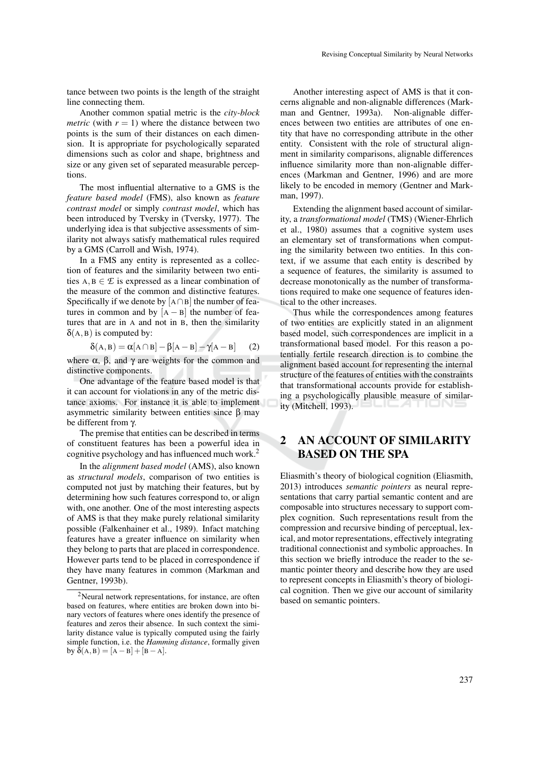tance between two points is the length of the straight line connecting them.

Another common spatial metric is the *city-block metric* (with  $r = 1$ ) where the distance between two points is the sum of their distances on each dimension. It is appropriate for psychologically separated dimensions such as color and shape, brightness and size or any given set of separated measurable perceptions.

The most influential alternative to a GMS is the *feature based model* (FMS), also known as *feature contrast model* or simply *contrast model*, which has been introduced by Tversky in (Tversky, 1977). The underlying idea is that subjective assessments of similarity not always satisfy mathematical rules required by a GMS (Carroll and Wish, 1974).

In a FMS any entity is represented as a collection of features and the similarity between two entities  $A, B \in \mathcal{E}$  is expressed as a linear combination of the measure of the common and distinctive features. Specifically if we denote by [A ∩B] the number of features in common and by  $[A - B]$  the number of features that are in A and not in B, then the similarity  $\delta(A, B)$  is computed by:

$$
\delta(A, B) = \alpha[A \cap B] - \beta[A - B] - \gamma[A - B]
$$
 (2)

where  $\alpha$ ,  $\beta$ , and  $\gamma$  are weights for the common and distinctive components.

One advantage of the feature based model is that it can account for violations in any of the metric distance axioms. For instance it is able to implement asymmetric similarity between entities since β may be different from γ.

The premise that entities can be described in terms of constituent features has been a powerful idea in cognitive psychology and has influenced much work.<sup>2</sup>

In the *alignment based model* (AMS), also known as *structural models*, comparison of two entities is computed not just by matching their features, but by determining how such features correspond to, or align with, one another. One of the most interesting aspects of AMS is that they make purely relational similarity possible (Falkenhainer et al., 1989). Infact matching features have a greater influence on similarity when they belong to parts that are placed in correspondence. However parts tend to be placed in correspondence if they have many features in common (Markman and Gentner, 1993b).

Another interesting aspect of AMS is that it concerns alignable and non-alignable differences (Markman and Gentner, 1993a). Non-alignable differences between two entities are attributes of one entity that have no corresponding attribute in the other entity. Consistent with the role of structural alignment in similarity comparisons, alignable differences influence similarity more than non-alignable differences (Markman and Gentner, 1996) and are more likely to be encoded in memory (Gentner and Markman, 1997).

Extending the alignment based account of similarity, a *transformational model* (TMS) (Wiener-Ehrlich et al., 1980) assumes that a cognitive system uses an elementary set of transformations when computing the similarity between two entities. In this context, if we assume that each entity is described by a sequence of features, the similarity is assumed to decrease monotonically as the number of transformations required to make one sequence of features identical to the other increases.

Thus while the correspondences among features of two entities are explicitly stated in an alignment based model, such correspondences are implicit in a transformational based model. For this reason a potentially fertile research direction is to combine the alignment based account for representing the internal structure of the features of entities with the constraints that transformational accounts provide for establishing a psychologically plausible measure of similarity (Mitchell, 1993).

# 2 AN ACCOUNT OF SIMILARITY BASED ON THE SPA

Eliasmith's theory of biological cognition (Eliasmith, 2013) introduces *semantic pointers* as neural representations that carry partial semantic content and are composable into structures necessary to support complex cognition. Such representations result from the compression and recursive binding of perceptual, lexical, and motor representations, effectively integrating traditional connectionist and symbolic approaches. In this section we briefly introduce the reader to the semantic pointer theory and describe how they are used to represent concepts in Eliasmith's theory of biological cognition. Then we give our account of similarity based on semantic pointers.

<sup>&</sup>lt;sup>2</sup>Neural network representations, for instance, are often based on features, where entities are broken down into binary vectors of features where ones identify the presence of features and zeros their absence. In such context the similarity distance value is typically computed using the fairly simple function, i.e. the *Hamming distance*, formally given by  $\delta(A, B) = [A - B] + [B - A].$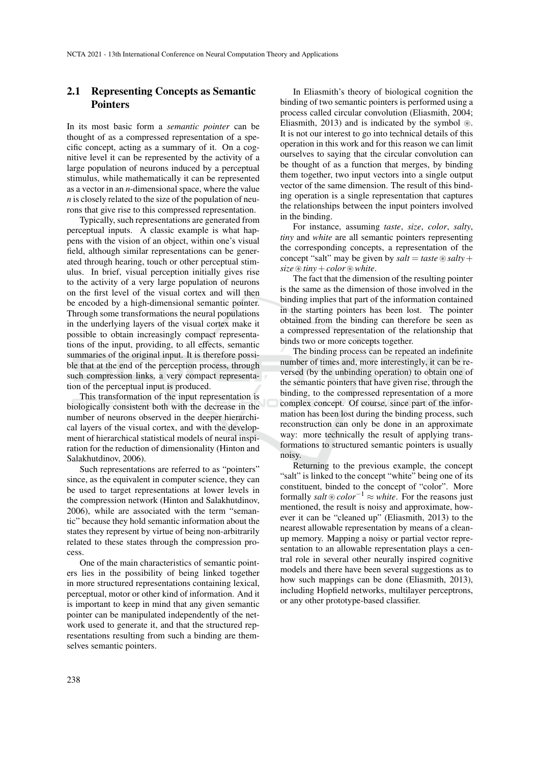## 2.1 Representing Concepts as Semantic Pointers

In its most basic form a *semantic pointer* can be thought of as a compressed representation of a specific concept, acting as a summary of it. On a cognitive level it can be represented by the activity of a large population of neurons induced by a perceptual stimulus, while mathematically it can be represented as a vector in an *n*-dimensional space, where the value *n* is closely related to the size of the population of neurons that give rise to this compressed representation.

Typically, such representations are generated from perceptual inputs. A classic example is what happens with the vision of an object, within one's visual field, although similar representations can be generated through hearing, touch or other perceptual stimulus. In brief, visual perception initially gives rise to the activity of a very large population of neurons on the first level of the visual cortex and will then be encoded by a high-dimensional semantic pointer. Through some transformations the neural populations in the underlying layers of the visual cortex make it possible to obtain increasingly compact representations of the input, providing, to all effects, semantic summaries of the original input. It is therefore possible that at the end of the perception process, through such compression links, a very compact representation of the perceptual input is produced.

This transformation of the input representation is biologically consistent both with the decrease in the number of neurons observed in the deeper hierarchical layers of the visual cortex, and with the development of hierarchical statistical models of neural inspiration for the reduction of dimensionality (Hinton and Salakhutdinov, 2006).

Such representations are referred to as "pointers" since, as the equivalent in computer science, they can be used to target representations at lower levels in the compression network (Hinton and Salakhutdinov, 2006), while are associated with the term "semantic" because they hold semantic information about the states they represent by virtue of being non-arbitrarily related to these states through the compression process.

One of the main characteristics of semantic pointers lies in the possibility of being linked together in more structured representations containing lexical, perceptual, motor or other kind of information. And it is important to keep in mind that any given semantic pointer can be manipulated independently of the network used to generate it, and that the structured representations resulting from such a binding are themselves semantic pointers.

In Eliasmith's theory of biological cognition the binding of two semantic pointers is performed using a process called circular convolution (Eliasmith, 2004; Eliasmith, 2013) and is indicated by the symbol  $\circledast$ . It is not our interest to go into technical details of this operation in this work and for this reason we can limit ourselves to saying that the circular convolution can be thought of as a function that merges, by binding them together, two input vectors into a single output vector of the same dimension. The result of this binding operation is a single representation that captures the relationships between the input pointers involved in the binding.

For instance, assuming *taste*, *size*, *color*, *salty*, *tiny* and *white* are all semantic pointers representing the corresponding concepts, a representation of the concept "salt" may be given by  $salt = taste \otimes salty +$  $size \circledast tiny + color \circledast white.$ 

The fact that the dimension of the resulting pointer is the same as the dimension of those involved in the binding implies that part of the information contained in the starting pointers has been lost. The pointer obtained from the binding can therefore be seen as a compressed representation of the relationship that binds two or more concepts together.

The binding process can be repeated an indefinite number of times and, more interestingly, it can be reversed (by the unbinding operation) to obtain one of the semantic pointers that have given rise, through the binding, to the compressed representation of a more complex concept. Of course, since part of the information has been lost during the binding process, such reconstruction can only be done in an approximate way: more technically the result of applying transformations to structured semantic pointers is usually noisy.

Returning to the previous example, the concept "salt" is linked to the concept "white" being one of its constituent, binded to the concept of "color". More formally *salt*  $\otimes$  *color*<sup>−1</sup>  $\approx$  *white*. For the reasons just mentioned, the result is noisy and approximate, however it can be "cleaned up" (Eliasmith, 2013) to the nearest allowable representation by means of a cleanup memory. Mapping a noisy or partial vector representation to an allowable representation plays a central role in several other neurally inspired cognitive models and there have been several suggestions as to how such mappings can be done (Eliasmith, 2013), including Hopfield networks, multilayer perceptrons, or any other prototype-based classifier.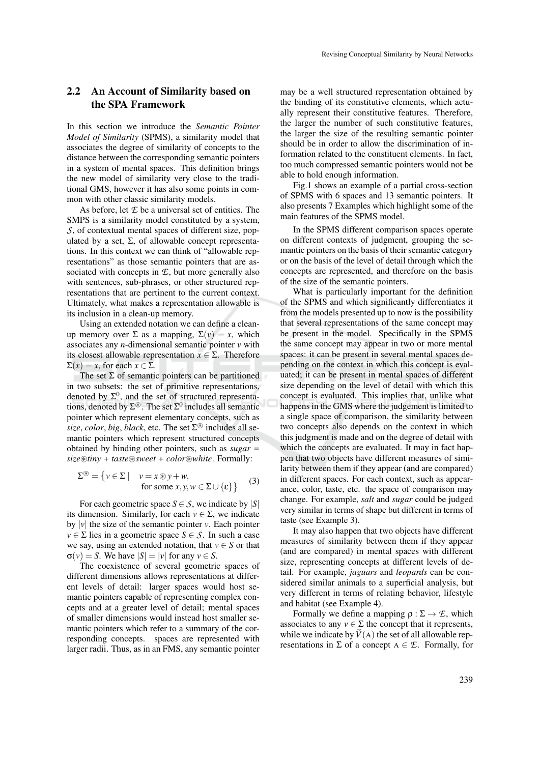## 2.2 An Account of Similarity based on the SPA Framework

In this section we introduce the *Semantic Pointer Model of Similarity* (SPMS), a similarity model that associates the degree of similarity of concepts to the distance between the corresponding semantic pointers in a system of mental spaces. This definition brings the new model of similarity very close to the traditional GMS, however it has also some points in common with other classic similarity models.

As before, let *E* be a universal set of entities. The SMPS is a similarity model constituted by a system, *S*, of contextual mental spaces of different size, populated by a set,  $Σ$ , of allowable concept representations. In this context we can think of "allowable representations" as those semantic pointers that are associated with concepts in *E*, but more generally also with sentences, sub-phrases, or other structured representations that are pertinent to the current context. Ultimately, what makes a representation allowable is its inclusion in a clean-up memory.

Using an extended notation we can define a cleanup memory over  $\Sigma$  as a mapping,  $\Sigma(v) = x$ , which associates any *n*-dimensional semantic pointer *v* with its closest allowable representation  $x \in \Sigma$ . Therefore  $\Sigma(x) = x$ , for each  $x \in \Sigma$ .

The set  $\Sigma$  of semantic pointers can be partitioned in two subsets: the set of primitive representations, denoted by  $\Sigma^0$ , and the set of structured representations, denoted by  $\Sigma^{\circledast}$ . The set  $\Sigma^0$  includes all semantic pointer which represent elementary concepts, such as  $size$ , *color*, *big*, *black*, etc. The set  $\Sigma^{\circledast}$  includes all semantic pointers which represent structured concepts obtained by binding other pointers, such as *sugar = size*~*tiny + taste*~*sweet + color*~*white*. Formally:

$$
\Sigma^{\circledast} = \{ v \in \Sigma \mid v = x \circledast y + w,
$$
  
for some  $x, y, w \in \Sigma \cup \{\epsilon\} \}$  (3)

For each geometric space  $S \in \mathcal{S}$ , we indicate by  $|S|$ its dimension. Similarly, for each  $v \in \Sigma$ , we indicate by  $|v|$  the size of the semantic pointer *v*. Each pointer  $v \in \Sigma$  lies in a geometric space  $S \in \mathcal{S}$ . In such a case we say, using an extended notation, that  $v \in S$  or that  $\sigma(v) = S$ . We have  $|S| = |v|$  for any  $v \in S$ .

The coexistence of several geometric spaces of different dimensions allows representations at different levels of detail: larger spaces would host semantic pointers capable of representing complex concepts and at a greater level of detail; mental spaces of smaller dimensions would instead host smaller semantic pointers which refer to a summary of the corresponding concepts. spaces are represented with larger radii. Thus, as in an FMS, any semantic pointer

may be a well structured representation obtained by the binding of its constitutive elements, which actually represent their constitutive features. Therefore, the larger the number of such constitutive features, the larger the size of the resulting semantic pointer should be in order to allow the discrimination of information related to the constituent elements. In fact, too much compressed semantic pointers would not be able to hold enough information.

Fig.1 shows an example of a partial cross-section of SPMS with 6 spaces and 13 semantic pointers. It also presents 7 Examples which highlight some of the main features of the SPMS model.

In the SPMS different comparison spaces operate on different contexts of judgment, grouping the semantic pointers on the basis of their semantic category or on the basis of the level of detail through which the concepts are represented, and therefore on the basis of the size of the semantic pointers.

What is particularly important for the definition of the SPMS and which significantly differentiates it from the models presented up to now is the possibility that several representations of the same concept may be present in the model. Specifically in the SPMS the same concept may appear in two or more mental spaces: it can be present in several mental spaces depending on the context in which this concept is evaluated; it can be present in mental spaces of different size depending on the level of detail with which this concept is evaluated. This implies that, unlike what happens in the GMS where the judgement is limited to a single space of comparison, the similarity between two concepts also depends on the context in which this judgment is made and on the degree of detail with which the concepts are evaluated. It may in fact happen that two objects have different measures of similarity between them if they appear (and are compared) in different spaces. For each context, such as appearance, color, taste, etc. the space of comparison may change. For example, *salt* and *sugar* could be judged very similar in terms of shape but different in terms of taste (see Example 3).

It may also happen that two objects have different measures of similarity between them if they appear (and are compared) in mental spaces with different size, representing concepts at different levels of detail. For example, *jaguars* and *leopards* can be considered similar animals to a superficial analysis, but very different in terms of relating behavior, lifestyle and habitat (see Example 4).

Formally we define a mapping  $\rho : \Sigma \to \mathcal{E}$ , which associates to any  $v \in \Sigma$  the concept that it represents, while we indicate by  $\vec{V}$ (A) the set of all allowable representations in  $\Sigma$  of a concept  $A \in \mathcal{E}$ . Formally, for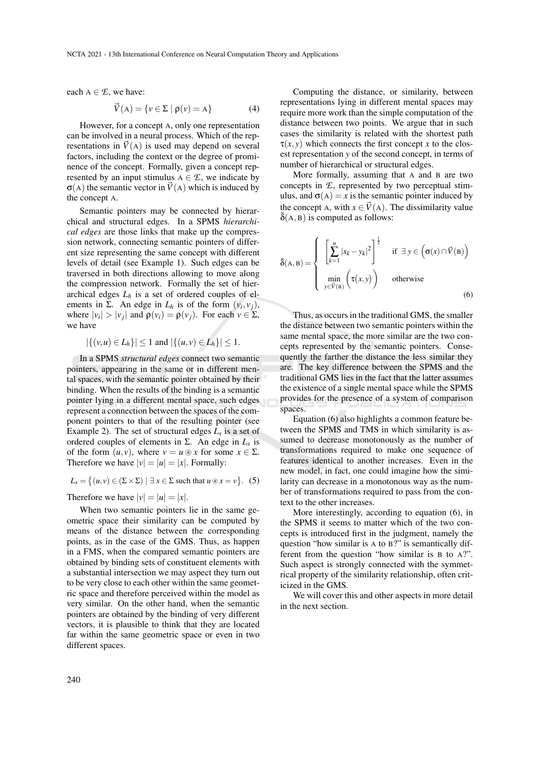each  $A \in \mathcal{L}$ , we have:

$$
\vec{V}(\mathbf{A}) = \{ v \in \Sigma \mid \rho(v) = \mathbf{A} \}
$$
 (4)

However, for a concept A, only one representation can be involved in a neural process. Which of the representations in  $\vec{V}$ (A) is used may depend on several factors, including the context or the degree of prominence of the concept. Formally, given a concept represented by an input stimulus  $A \in \mathcal{L}$ , we indicate by  $\sigma(A)$  the semantic vector in  $\vec{V}(A)$  which is induced by the concept A.

Semantic pointers may be connected by hierarchical and structural edges. In a SPMS *hierarchical edges* are those links that make up the compression network, connecting semantic pointers of different size representing the same concept with different levels of detail (see Example 1). Such edges can be traversed in both directions allowing to move along the compression network. Formally the set of hierarchical edges  $L_h$  is a set of ordered couples of elements in  $\Sigma$ . An edge in  $L_h$  is of the form  $(v_i, v_j)$ , where  $|v_i| > |v_j|$  and  $\rho(v_i) = \rho(v_j)$ . For each  $v \in \Sigma$ , we have

$$
|\{(v, u) \in L_h\}| \le 1
$$
 and  $|\{(u, v) \in L_h\}| \le 1$ .

In a SPMS *structural edges* connect two semantic pointers, appearing in the same or in different mental spaces, with the semantic pointer obtained by their binding. When the results of the binding is a semantic pointer lying in a different mental space, such edges represent a connection between the spaces of the component pointers to that of the resulting pointer (see Example 2). The set of structural edges *L<sup>s</sup>* is a set of ordered couples of elements in  $\Sigma$ . An edge in  $L_s$  is of the form  $(u, v)$ , where  $v = u \otimes x$  for some  $x \in \Sigma$ . Therefore we have  $|v| = |u| = |x|$ . Formally:

$$
L_s = \{(u, v) \in (\Sigma \times \Sigma) \mid \exists x \in \Sigma \text{ such that } u \circledast x = v\}. (5)
$$

Therefore we have  $|v| = |u| = |x|$ .

When two semantic pointers lie in the same geometric space their similarity can be computed by means of the distance between the corresponding points, as in the case of the GMS. Thus, as happen in a FMS, when the compared semantic pointers are obtained by binding sets of constituent elements with a substantial intersection we may aspect they turn out to be very close to each other within the same geometric space and therefore perceived within the model as very similar. On the other hand, when the semantic pointers are obtained by the binding of very different vectors, it is plausible to think that they are located far within the same geometric space or even in two different spaces.

Computing the distance, or similarity, between representations lying in different mental spaces may require more work than the simple computation of the distance between two points. We argue that in such cases the similarity is related with the shortest path  $\tau(x, y)$  which connects the first concept *x* to the closest representation *y* of the second concept, in terms of number of hierarchical or structural edges.

More formally, assuming that A and B are two concepts in *E*, represented by two perceptual stimulus, and  $\sigma(A) = x$  is the semantic pointer induced by the concept A, with  $x \in V(A)$ . The dissimilarity value  $\delta$ (A, B) is computed as follows:

$$
\bar{\delta}(\mathbf{A}, \mathbf{B}) = \begin{cases}\n\left[\sum_{k=1}^{n} |x_k - y_k|^2\right]^{\frac{1}{2}} & \text{if } \exists y \in (\sigma(x) \cap \vec{V}(\mathbf{B})) \\
\min_{y \in \vec{V}(\mathbf{B})} (\tau(x, y)) & \text{otherwise}\n\end{cases}
$$
\n(6)

Thus, as occurs in the traditional GMS, the smaller the distance between two semantic pointers within the same mental space, the more similar are the two concepts represented by the semantic pointers. Consequently the farther the distance the less similar they are. The key difference between the SPMS and the traditional GMS lies in the fact that the latter assumes the existence of a single mental space while the SPMS provides for the presence of a system of comparison spaces.

Equation (6) also highlights a common feature between the SPMS and TMS in which similarity is assumed to decrease monotonously as the number of transformations required to make one sequence of features identical to another increases. Even in the new model, in fact, one could imagine how the similarity can decrease in a monotonous way as the number of transformations required to pass from the context to the other increases.

More interestingly, according to equation (6), in the SPMS it seems to matter which of the two concepts is introduced first in the judgment, namely the question "how similar is A to B?" is semantically different from the question "how similar is B to A?". Such aspect is strongly connected with the symmetrical property of the similarity relationship, often criticized in the GMS.

We will cover this and other aspects in more detail in the next section.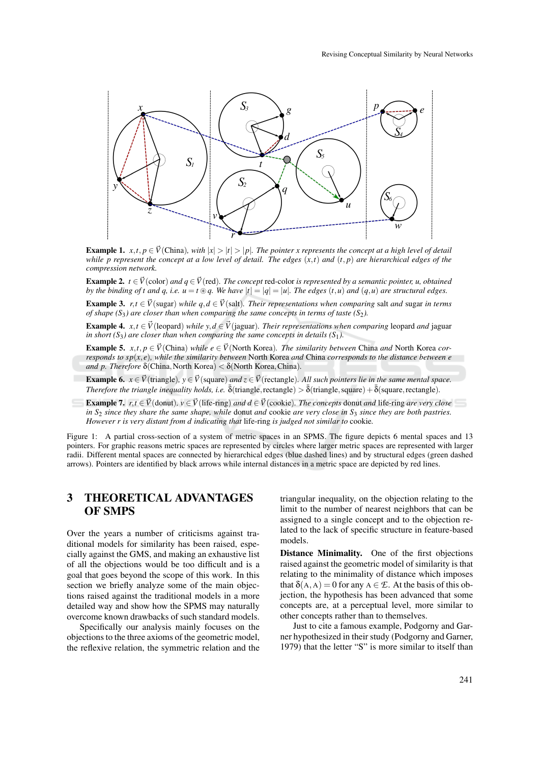

**Example 1.**  $x, t, p \in \vec{V}$  (China)*, with*  $|x| > |t| > |p|$ *. The pointer x represents the concept at a high level of detail while p represent the concept at a low level of detail. The edges* (*x*,*t*) *and* (*t*, *p*) *are hierarchical edges of the compression network.*

**Example 2.** *t* ∈  $\vec{V}$ (color) *and q* ∈  $\vec{V}$ (red). *The concept* red-color *is represented by a semantic pointer, u, obtained by the binding of t and q, i.e.*  $u = t \otimes q$ . We have  $|t| = |q| = |u|$ . The edges  $(t, u)$  and  $(q, u)$  are structural edges.

**Example 3.**  $r, t \in \vec{V}$ (sugar) *while q,d*  $\in \vec{V}$ (salt)*. Their representations when comparing* salt *and* sugar *in terms of shape*  $(S_3)$  are closer than when comparing the same concepts in terms of taste  $(S_2)$ .

**Example 4.**  $x, t \in V$ (leopard) *while*  $y, d \in V$ (jaguar)*. Their representations when comparing* leopard *and* jaguar *in short*  $(S_3)$  *are closer than when comparing the same concepts in details*  $(S_1)$ *.* 

**Example 5.** *x*,*t*,  $p \in V$  (China) *while*  $e \in V$  (North Korea). The similarity between China and North Korea cor*responds to sp*(*x*, *e*)*, while the similarity between* North Korea *and* China *corresponds to the distance between e and p. Therefore* δ(China,North Korea) < δ(North Korea,China)*.*

**Example 6.**  $x \in \vec{V}$  (triangle),  $y \in \vec{V}$  (square) *and*  $z \in \vec{V}$  (rectangle). All such pointers lie in the same mental space. *Therefore the triangle inequality holds, i.e.*  $\bar{\delta}$ (triangle, rectangle)  $>\bar{\delta}$ (triangle, square) +  $\bar{\delta}$ (square, rectangle).

**Example 7.**  $r, t \in V$ (donut),  $v \in V$ (life-ring) *and*  $d \in V$ (cookie). The concepts donut *and* life-ring *are very close in S*<sup>2</sup> *since they share the same shape, while* donut *and* cookie *are very close in S*<sup>3</sup> *since they are both pastries. However r is very distant from d indicating that* life-ring *is judged not similar to* cookie*.*

Figure 1: A partial cross-section of a system of metric spaces in an SPMS. The figure depicts 6 mental spaces and 13 pointers. For graphic reasons metric spaces are represented by circles where larger metric spaces are represented with larger radii. Different mental spaces are connected by hierarchical edges (blue dashed lines) and by structural edges (green dashed arrows). Pointers are identified by black arrows while internal distances in a metric space are depicted by red lines.

# 3 THEORETICAL ADVANTAGES OF SMPS

Over the years a number of criticisms against traditional models for similarity has been raised, especially against the GMS, and making an exhaustive list of all the objections would be too difficult and is a goal that goes beyond the scope of this work. In this section we briefly analyze some of the main objections raised against the traditional models in a more detailed way and show how the SPMS may naturally overcome known drawbacks of such standard models.

Specifically our analysis mainly focuses on the objections to the three axioms of the geometric model, the reflexive relation, the symmetric relation and the triangular inequality, on the objection relating to the limit to the number of nearest neighbors that can be assigned to a single concept and to the objection related to the lack of specific structure in feature-based models.

Distance Minimality. One of the first objections raised against the geometric model of similarity is that relating to the minimality of distance which imposes that  $\delta(A, A) = 0$  for any  $A \in \mathcal{E}$ . At the basis of this objection, the hypothesis has been advanced that some concepts are, at a perceptual level, more similar to other concepts rather than to themselves.

Just to cite a famous example, Podgorny and Garner hypothesized in their study (Podgorny and Garner, 1979) that the letter "S" is more similar to itself than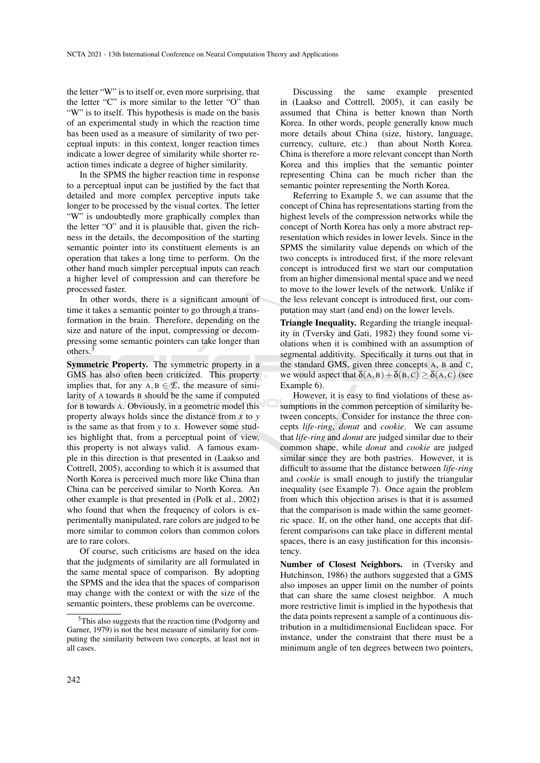the letter "W" is to itself or, even more surprising, that the letter "C" is more similar to the letter "O" than "W" is to itself. This hypothesis is made on the basis of an experimental study in which the reaction time has been used as a measure of similarity of two perceptual inputs: in this context, longer reaction times indicate a lower degree of similarity while shorter reaction times indicate a degree of higher similarity.

In the SPMS the higher reaction time in response to a perceptual input can be justified by the fact that detailed and more complex perceptive inputs take longer to be processed by the visual cortex. The letter "W" is undoubtedly more graphically complex than the letter "O" and it is plausible that, given the richness in the details, the decomposition of the starting semantic pointer into its constituent elements is an operation that takes a long time to perform. On the other hand much simpler perceptual inputs can reach a higher level of compression and can therefore be processed faster.

In other words, there is a significant amount of time it takes a semantic pointer to go through a transformation in the brain. Therefore, depending on the size and nature of the input, compressing or decompressing some semantic pointers can take longer than others.<sup>3</sup>

Symmetric Property. The symmetric property in a GMS has also often been criticized. This property implies that, for any  $A, B \in \mathcal{L}$ , the measure of similarity of A towards B should be the same if computed for B towards A. Obviously, in a geometric model this property always holds since the distance from *x* to *y* is the same as that from *y* to *x*. However some studies highlight that, from a perceptual point of view, this property is not always valid. A famous example in this direction is that presented in (Laakso and Cottrell, 2005), according to which it is assumed that North Korea is perceived much more like China than China can be perceived similar to North Korea. An other example is that presented in (Polk et al., 2002) who found that when the frequency of colors is experimentally manipulated, rare colors are judged to be more similar to common colors than common colors are to rare colors.

Of course, such criticisms are based on the idea that the judgments of similarity are all formulated in the same mental space of comparison. By adopting the SPMS and the idea that the spaces of comparison may change with the context or with the size of the semantic pointers, these problems can be overcome.

Discussing the same example presented in (Laakso and Cottrell, 2005), it can easily be assumed that China is better known than North Korea. In other words, people generally know much more details about China (size, history, language, currency, culture, etc.) than about North Korea. China is therefore a more relevant concept than North Korea and this implies that the semantic pointer representing China can be much richer than the semantic pointer representing the North Korea.

Referring to Example 5, we can assume that the concept of China has representations starting from the highest levels of the compression networks while the concept of North Korea has only a more abstract representation which resides in lower levels. Since in the SPMS the similarity value depends on which of the two concepts is introduced first, if the more relevant concept is introduced first we start our computation from an higher dimensional mental space and we need to move to the lower levels of the network. Unlike if the less relevant concept is introduced first, our computation may start (and end) on the lower levels.

Triangle Inequality. Regarding the triangle inequality in (Tversky and Gati, 1982) they found some violations when it is combined with an assumption of segmental additivity. Specifically it turns out that in the standard GMS, given three concepts A, B and C, we would aspect that  $\delta(A, B) + \delta(B, C) \ge \delta(A, C)$  (see Example 6).

However, it is easy to find violations of these assumptions in the common perception of similarity between concepts. Consider for instance the three concepts *life-ring*, *donut* and *cookie*. We can assume that *life-ring* and *donut* are judged similar due to their common shape, while *donut* and *cookie* are judged similar since they are both pastries. However, it is difficult to assume that the distance between *life-ring* and *cookie* is small enough to justify the triangular inequality (see Example 7). Once again the problem from which this objection arises is that it is assumed that the comparison is made within the same geometric space. If, on the other hand, one accepts that different comparisons can take place in different mental spaces, there is an easy justification for this inconsistency.

Number of Closest Neighbors. in (Tversky and Hutchinson, 1986) the authors suggested that a GMS also imposes an upper limit on the number of points that can share the same closest neighbor. A much more restrictive limit is implied in the hypothesis that the data points represent a sample of a continuous distribution in a multidimensional Euclidean space. For instance, under the constraint that there must be a minimum angle of ten degrees between two pointers,

<sup>&</sup>lt;sup>3</sup>This also suggests that the reaction time (Podgorny and Garner, 1979) is not the best measure of similarity for computing the similarity between two concepts, at least not in all cases.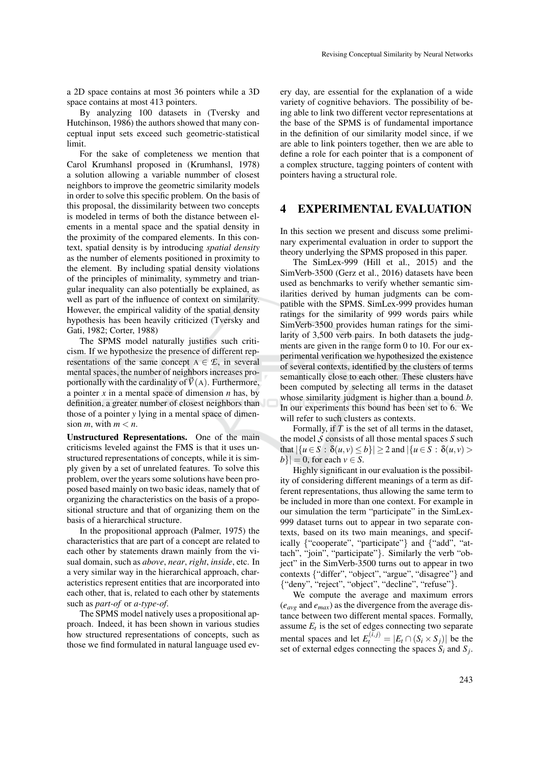a 2D space contains at most 36 pointers while a 3D space contains at most 413 pointers.

By analyzing 100 datasets in (Tversky and Hutchinson, 1986) the authors showed that many conceptual input sets exceed such geometric-statistical limit.

For the sake of completeness we mention that Carol Krumhansl proposed in (Krumhansl, 1978) a solution allowing a variable nummber of closest neighbors to improve the geometric similarity models in order to solve this specific problem. On the basis of this proposal, the dissimilarity between two concepts is modeled in terms of both the distance between elements in a mental space and the spatial density in the proximity of the compared elements. In this context, spatial density is by introducing *spatial density* as the number of elements positioned in proximity to the element. By including spatial density violations of the principles of minimality, symmetry and triangular inequality can also potentially be explained, as well as part of the influence of context on similarity. However, the empirical validity of the spatial density hypothesis has been heavily criticized (Tversky and Gati, 1982; Corter, 1988)

The SPMS model naturally justifies such criticism. If we hypothesize the presence of different representations of the same concept  $A \in \mathcal{L}$ , in several mental spaces, the number of neighbors increases proportionally with the cardinality of  $\vec{V}(\text{A})$ . Furthermore, a pointer *x* in a mental space of dimension *n* has, by definition, a greater number of closest neighbors than those of a pointer *y* lying in a mental space of dimension *m*, with  $m < n$ .

Unstructured Representations. One of the main criticisms leveled against the FMS is that it uses unstructured representations of concepts, while it is simply given by a set of unrelated features. To solve this problem, over the years some solutions have been proposed based mainly on two basic ideas, namely that of organizing the characteristics on the basis of a propositional structure and that of organizing them on the basis of a hierarchical structure.

In the propositional approach (Palmer, 1975) the characteristics that are part of a concept are related to each other by statements drawn mainly from the visual domain, such as *above*, *near*, *right*, *inside*, etc. In a very similar way in the hierarchical approach, characteristics represent entities that are incorporated into each other, that is, related to each other by statements such as *part-of* or *a-type-of*.

The SPMS model natively uses a propositional approach. Indeed, it has been shown in various studies how structured representations of concepts, such as those we find formulated in natural language used every day, are essential for the explanation of a wide variety of cognitive behaviors. The possibility of being able to link two different vector representations at the base of the SPMS is of fundamental importance in the definition of our similarity model since, if we are able to link pointers together, then we are able to define a role for each pointer that is a component of a complex structure, tagging pointers of content with pointers having a structural role.

#### 4 EXPERIMENTAL EVALUATION

In this section we present and discuss some preliminary experimental evaluation in order to support the theory underlying the SPMS proposed in this paper.

The SimLex-999 (Hill et al., 2015) and the SimVerb-3500 (Gerz et al., 2016) datasets have been used as benchmarks to verify whether semantic similarities derived by human judgments can be compatible with the SPMS. SimLex-999 provides human ratings for the similarity of 999 words pairs while SimVerb-3500 provides human ratings for the similarity of 3,500 verb pairs. In both datasets the judgments are given in the range form 0 to 10. For our experimental verification we hypothesized the existence of several contexts, identified by the clusters of terms semantically close to each other. These clusters have been computed by selecting all terms in the dataset whose similarity judgment is higher than a bound *b*. In our experiments this bound has been set to 6. We will refer to such clusters as contexts.

Formally, if *T* is the set of all terms in the dataset, the model *S* consists of all those mental spaces *S* such that  $|\{u \in S : \delta(u, v) \le b\}| \ge 2$  and  $|\{u \in S : \delta(u, v) > b\}|$  $|b\rangle| = 0$ , for each  $v \in S$ .

Highly significant in our evaluation is the possibility of considering different meanings of a term as different representations, thus allowing the same term to be included in more than one context. For example in our simulation the term "participate" in the SimLex-999 dataset turns out to appear in two separate contexts, based on its two main meanings, and specifically {"cooperate", "participate"} and {"add", "attach", "join", "participate"}. Similarly the verb "object" in the SimVerb-3500 turns out to appear in two contexts {"differ", "object", "argue", "disagree"} and {"deny", "reject", "object", "decline", "refuse"}.

We compute the average and maximum errors (*eavg* and *emax*) as the divergence from the average distance between two different mental spaces. Formally, assume  $E_t$  is the set of edges connecting two separate mental spaces and let  $E_t^{(i,j)} = |E_t \cap (S_i \times S_j)|$  be the set of external edges connecting the spaces  $S_i$  and  $S_j$ .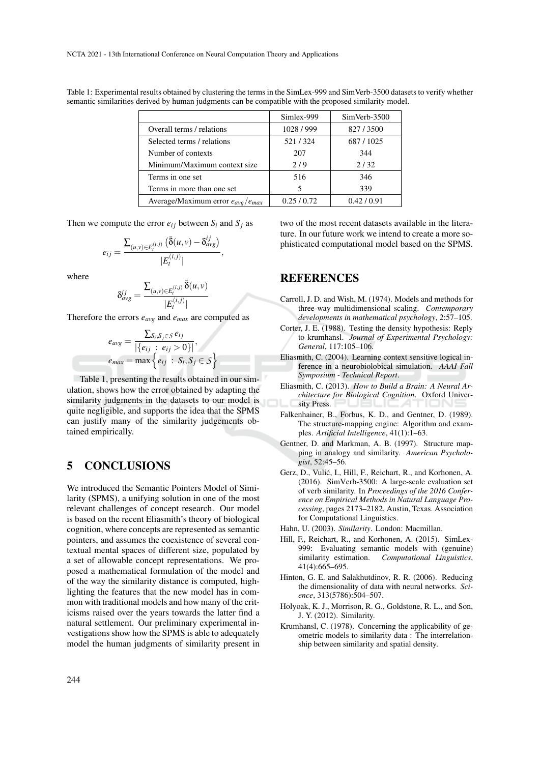Table 1: Experimental results obtained by clustering the terms in the SimLex-999 and SimVerb-3500 datasets to verify whether semantic similarities derived by human judgments can be compatible with the proposed similarity model.

|                                         | Simlex-999 | SimVerb-3500 |
|-----------------------------------------|------------|--------------|
| Overall terms / relations               | 1028/999   | 827/3500     |
| Selected terms / relations              | 521/324    | 687/1025     |
| Number of contexts                      | 207        | 344          |
| Minimum/Maximum context size            | 2/9        | 2/32         |
| Terms in one set                        | 516        | 346          |
| Terms in more than one set              |            | 339          |
| Average/Maximum error $e_{avg}/e_{max}$ | 0.25/0.72  | 0.42/0.91    |

Then we compute the error  $e_{ij}$  between  $S_i$  and  $S_j$  as

$$
e_{ij} = \frac{\sum_{(u,v)\in E_t^{(i,j)}} (\bar{\delta}(u,v) - \delta_{avg}^{ij})}{|E_t^{(i,j)}|},
$$

where

$$
\delta_{avg}^{ij} = \frac{\sum_{(u,v) \in E_t^{(i,j)}} \bar{\delta}(u,v)}{|E_t^{(i,j)}|}
$$

Therefore the errors *eavg* and *emax* are computed as

$$
e_{avg} = \frac{\sum_{S_i, S_j \in S} e_{ij}}{|\{e_{ij} : e_{ij} > 0\}|},
$$
  

$$
e_{max} = \max \{e_{ij} : S_i, S_j \in S\}
$$

Table 1, presenting the results obtained in our simulation, shows how the error obtained by adapting the similarity judgments in the datasets to our model is quite negligible, and supports the idea that the SPMS can justify many of the similarity judgements obtained empirically.

## 5 CONCLUSIONS

We introduced the Semantic Pointers Model of Similarity (SPMS), a unifying solution in one of the most relevant challenges of concept research. Our model is based on the recent Eliasmith's theory of biological cognition, where concepts are represented as semantic pointers, and assumes the coexistence of several contextual mental spaces of different size, populated by a set of allowable concept representations. We proposed a mathematical formulation of the model and of the way the similarity distance is computed, highlighting the features that the new model has in common with traditional models and how many of the criticisms raised over the years towards the latter find a natural settlement. Our preliminary experimental investigations show how the SPMS is able to adequately model the human judgments of similarity present in

two of the most recent datasets available in the literature. In our future work we intend to create a more sophisticated computational model based on the SPMS.

### **REFERENCES**

- Carroll, J. D. and Wish, M. (1974). Models and methods for three-way multidimensional scaling. *Contemporary developments in mathematical psychology*, 2:57–105.
- Corter, J. E. (1988). Testing the density hypothesis: Reply to krumhansl. *Journal of Experimental Psychology: General*, 117:105–106.
- Eliasmith, C. (2004). Learning context sensitive logical inference in a neurobiolobical simulation. *AAAI Fall Symposium - Technical Report*.
- Eliasmith, C. (2013). *How to Build a Brain: A Neural Architecture for Biological Cognition*. Oxford University Press.
- Falkenhainer, B., Forbus, K. D., and Gentner, D. (1989). The structure-mapping engine: Algorithm and examples. *Artificial Intelligence*, 41(1):1–63.
- Gentner, D. and Markman, A. B. (1997). Structure mapping in analogy and similarity. *American Psychologist*, 52:45–56.
- Gerz, D., Vulić, I., Hill, F., Reichart, R., and Korhonen, A. (2016). SimVerb-3500: A large-scale evaluation set of verb similarity. In *Proceedings of the 2016 Conference on Empirical Methods in Natural Language Processing*, pages 2173–2182, Austin, Texas. Association for Computational Linguistics.
- Hahn, U. (2003). *Similarity*. London: Macmillan.
- Hill, F., Reichart, R., and Korhonen, A. (2015). SimLex-999: Evaluating semantic models with (genuine) similarity estimation. *Computational Linguistics*, 41(4):665–695.
- Hinton, G. E. and Salakhutdinov, R. R. (2006). Reducing the dimensionality of data with neural networks. *Science*, 313(5786):504–507.
- Holyoak, K. J., Morrison, R. G., Goldstone, R. L., and Son, J. Y. (2012). Similarity.
- Krumhansl, C. (1978). Concerning the applicability of geometric models to similarity data : The interrelationship between similarity and spatial density.